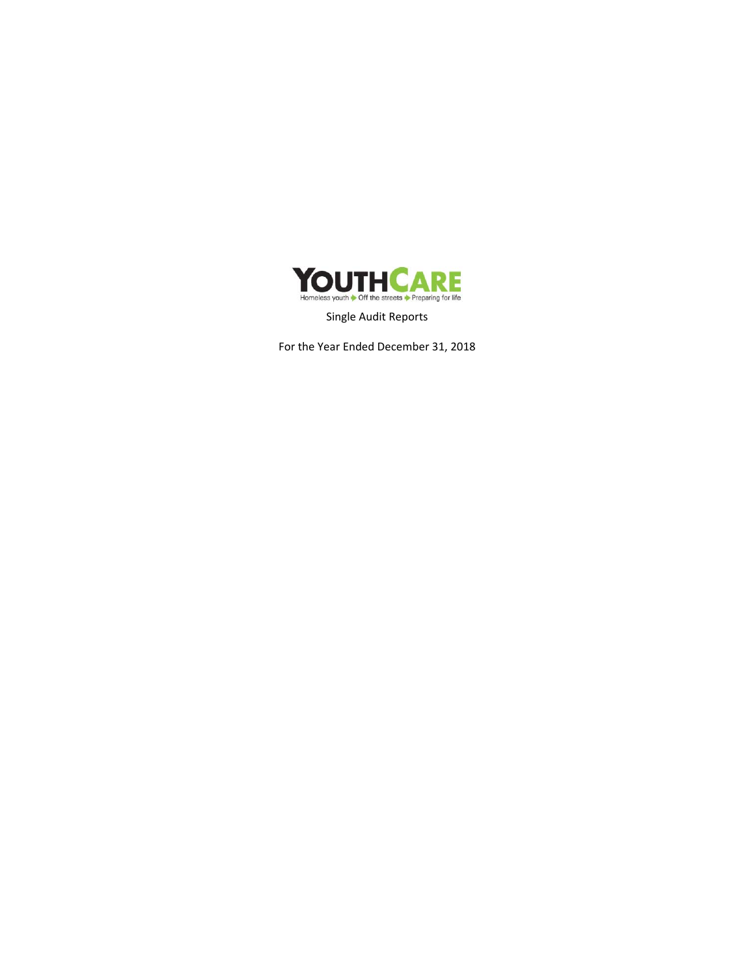

Single Audit Reports

For the Year Ended December 31, 2018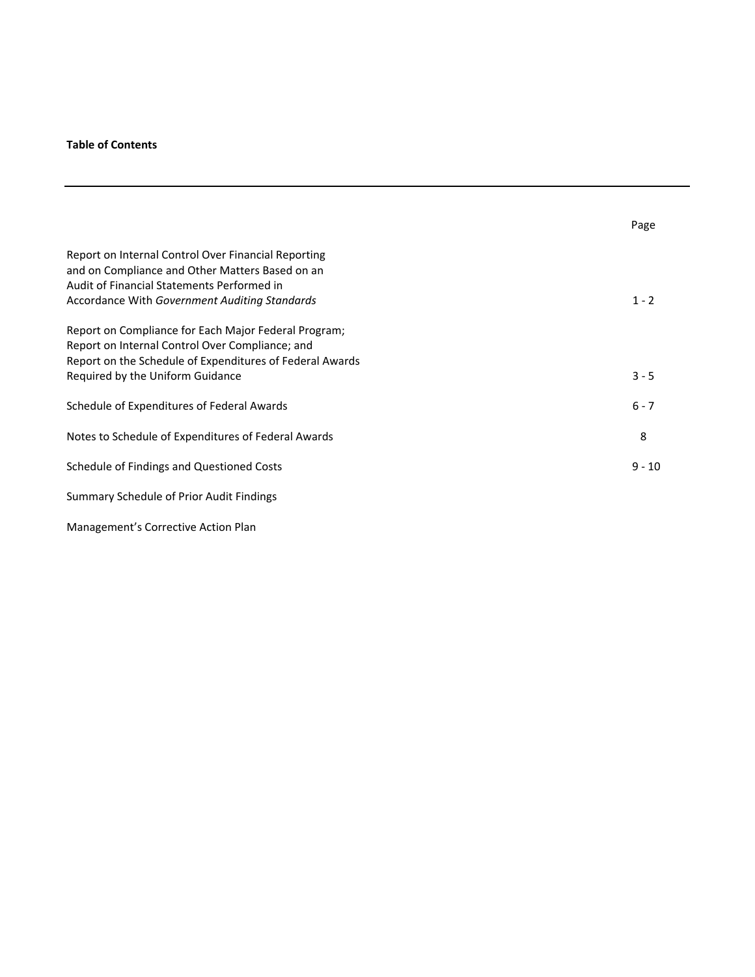## **Table of Contents**

|                                                                                                                                                                                                         | Page     |
|---------------------------------------------------------------------------------------------------------------------------------------------------------------------------------------------------------|----------|
| Report on Internal Control Over Financial Reporting<br>and on Compliance and Other Matters Based on an<br>Audit of Financial Statements Performed in<br>Accordance With Government Auditing Standards   | $1 - 2$  |
| Report on Compliance for Each Major Federal Program;<br>Report on Internal Control Over Compliance; and<br>Report on the Schedule of Expenditures of Federal Awards<br>Required by the Uniform Guidance | $3 - 5$  |
| Schedule of Expenditures of Federal Awards                                                                                                                                                              | $6 - 7$  |
| Notes to Schedule of Expenditures of Federal Awards                                                                                                                                                     | 8        |
| Schedule of Findings and Questioned Costs                                                                                                                                                               | $9 - 10$ |
| Summary Schedule of Prior Audit Findings                                                                                                                                                                |          |
| Management's Corrective Action Plan                                                                                                                                                                     |          |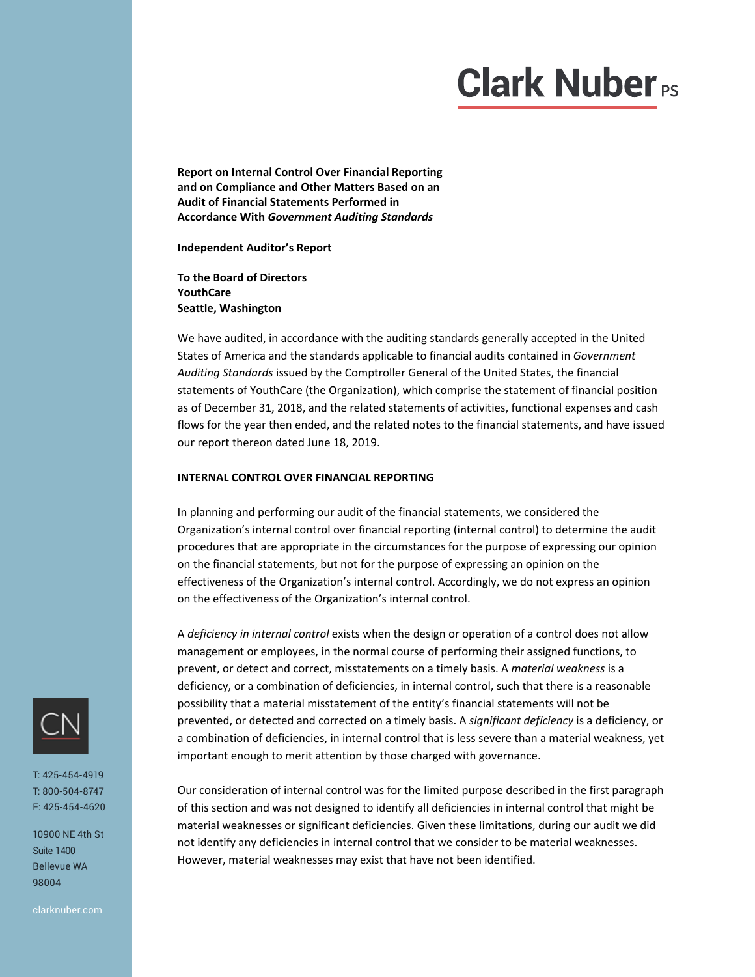**Report on Internal Control Over Financial Reporting and on Compliance and Other Matters Based on an Audit of Financial Statements Performed in Accordance With** *Government Auditing Standards*

**Independent Auditor's Report** 

**To the Board of Directors YouthCare Seattle, Washington** 

We have audited, in accordance with the auditing standards generally accepted in the United States of America and the standards applicable to financial audits contained in *Government Auditing Standards* issued by the Comptroller General of the United States, the financial statements of YouthCare (the Organization), which comprise the statement of financial position as of December 31, 2018, and the related statements of activities, functional expenses and cash flows for the year then ended, and the related notes to the financial statements, and have issued our report thereon dated June 18, 2019.

#### **INTERNAL CONTROL OVER FINANCIAL REPORTING**

In planning and performing our audit of the financial statements, we considered the Organization's internal control over financial reporting (internal control) to determine the audit procedures that are appropriate in the circumstances for the purpose of expressing our opinion on the financial statements, but not for the purpose of expressing an opinion on the effectiveness of the Organization's internal control. Accordingly, we do not express an opinion on the effectiveness of the Organization's internal control.

A *deficiency in internal control* exists when the design or operation of a control does not allow management or employees, in the normal course of performing their assigned functions, to prevent, or detect and correct, misstatements on a timely basis. A *material weakness* is a deficiency, or a combination of deficiencies, in internal control, such that there is a reasonable possibility that a material misstatement of the entity's financial statements will not be prevented, or detected and corrected on a timely basis. A *significant deficiency* is a deficiency, or a combination of deficiencies, in internal control that is less severe than a material weakness, yet important enough to merit attention by those charged with governance.

Our consideration of internal control was for the limited purpose described in the first paragraph of this section and was not designed to identify all deficiencies in internal control that might be material weaknesses or significant deficiencies. Given these limitations, during our audit we did not identify any deficiencies in internal control that we consider to be material weaknesses. However, material weaknesses may exist that have not been identified.



T: 425-454-4919 T: 800-504-8747 F: 425-454-4620

10900 NE 4th St Suite 1400 Bellevue WA 98004

clarknuber.com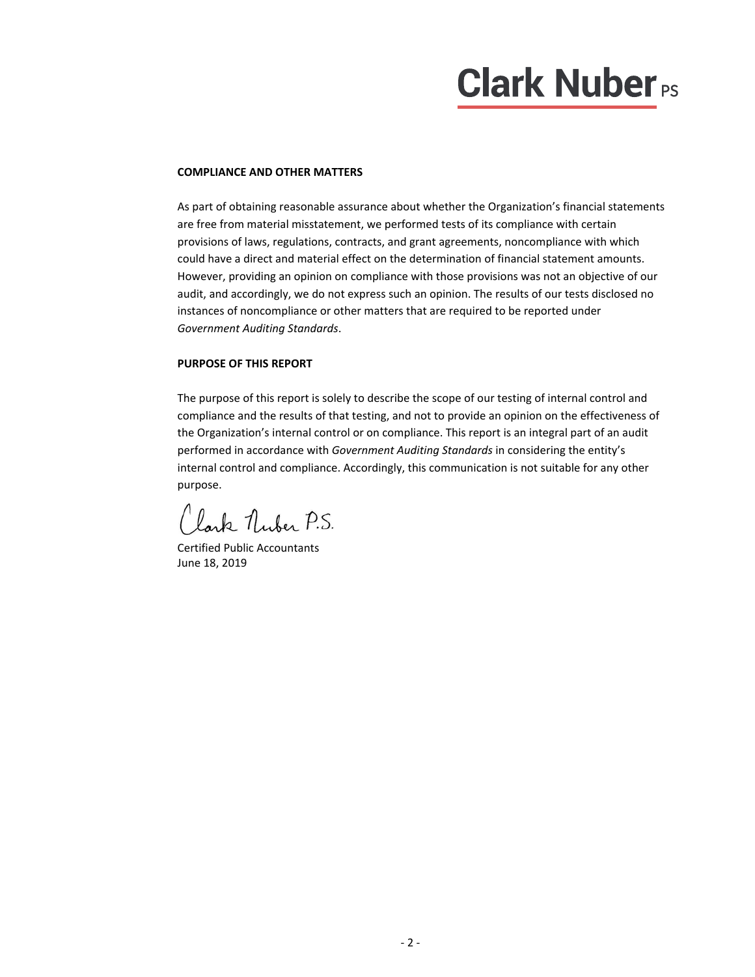#### **COMPLIANCE AND OTHER MATTERS**

As part of obtaining reasonable assurance about whether the Organization's financial statements are free from material misstatement, we performed tests of its compliance with certain provisions of laws, regulations, contracts, and grant agreements, noncompliance with which could have a direct and material effect on the determination of financial statement amounts. However, providing an opinion on compliance with those provisions was not an objective of our audit, and accordingly, we do not express such an opinion. The results of our tests disclosed no instances of noncompliance or other matters that are required to be reported under *Government Auditing Standards*.

#### **PURPOSE OF THIS REPORT**

The purpose of this report is solely to describe the scope of our testing of internal control and compliance and the results of that testing, and not to provide an opinion on the effectiveness of the Organization's internal control or on compliance. This report is an integral part of an audit performed in accordance with *Government Auditing Standards* in considering the entity's internal control and compliance. Accordingly, this communication is not suitable for any other purpose.

Lark Nuber P.S.

Certified Public Accountants June 18, 2019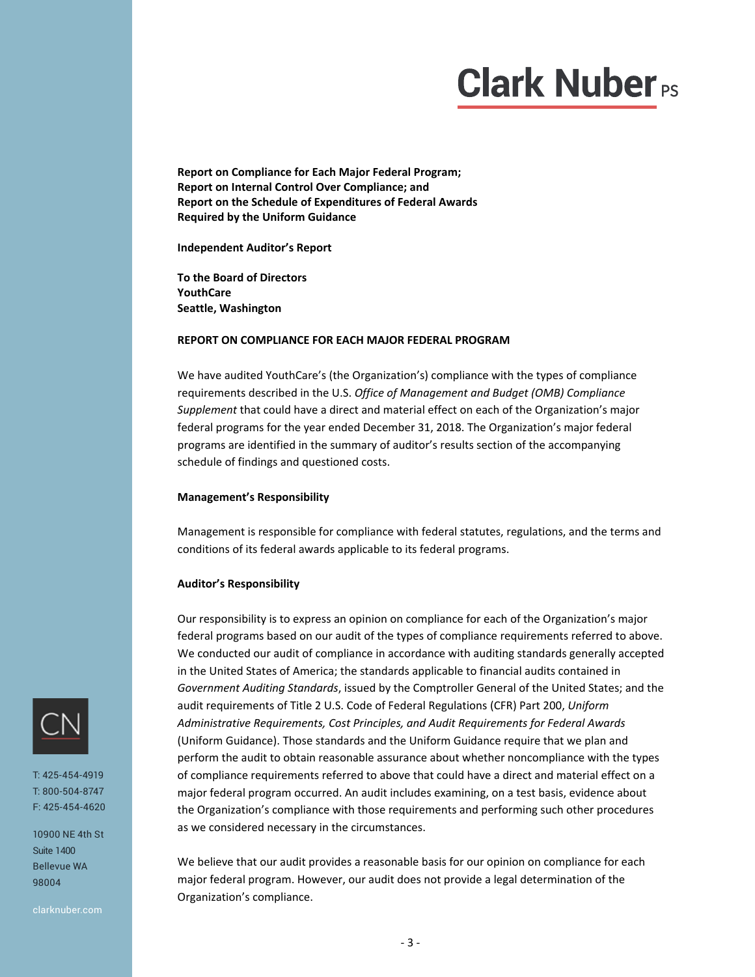**Report on Compliance for Each Major Federal Program; Report on Internal Control Over Compliance; and Report on the Schedule of Expenditures of Federal Awards Required by the Uniform Guidance** 

**Independent Auditor's Report** 

**To the Board of Directors YouthCare Seattle, Washington** 

#### **REPORT ON COMPLIANCE FOR EACH MAJOR FEDERAL PROGRAM**

We have audited YouthCare's (the Organization's) compliance with the types of compliance requirements described in the U.S. *Office of Management and Budget (OMB) Compliance Supplement* that could have a direct and material effect on each of the Organization's major federal programs for the year ended December 31, 2018. The Organization's major federal programs are identified in the summary of auditor's results section of the accompanying schedule of findings and questioned costs.

#### **Management's Responsibility**

Management is responsible for compliance with federal statutes, regulations, and the terms and conditions of its federal awards applicable to its federal programs.

#### **Auditor's Responsibility**

Our responsibility is to express an opinion on compliance for each of the Organization's major federal programs based on our audit of the types of compliance requirements referred to above. We conducted our audit of compliance in accordance with auditing standards generally accepted in the United States of America; the standards applicable to financial audits contained in *Government Auditing Standards*, issued by the Comptroller General of the United States; and the audit requirements of Title 2 U.S. Code of Federal Regulations (CFR) Part 200, *Uniform Administrative Requirements, Cost Principles, and Audit Requirements for Federal Awards* (Uniform Guidance). Those standards and the Uniform Guidance require that we plan and perform the audit to obtain reasonable assurance about whether noncompliance with the types of compliance requirements referred to above that could have a direct and material effect on a major federal program occurred. An audit includes examining, on a test basis, evidence about the Organization's compliance with those requirements and performing such other procedures as we considered necessary in the circumstances.

We believe that our audit provides a reasonable basis for our opinion on compliance for each major federal program. However, our audit does not provide a legal determination of the Organization's compliance.



T: 425-454-4919 T: 800-504-8747 F: 425-454-4620

10900 NE 4th St Suite 1400 Bellevue WA 98004

clarknuber.com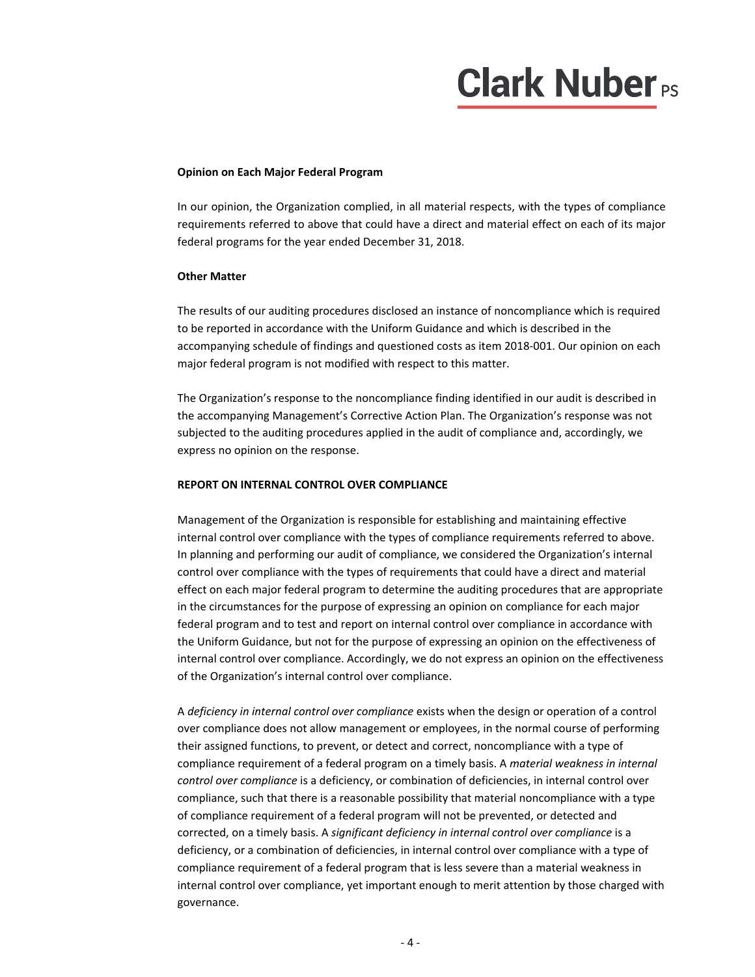#### **Opinion on Each Major Federal Program**

In our opinion, the Organization complied, in all material respects, with the types of compliance requirements referred to above that could have a direct and material effect on each of its major federal programs for the year ended December 31, 2018.

#### **Other Matter**

The results of our auditing procedures disclosed an instance of noncompliance which is required to be reported in accordance with the Uniform Guidance and which is described in the accompanying schedule of findings and questioned costs as item 2018‐001. Our opinion on each major federal program is not modified with respect to this matter.

The Organization's response to the noncompliance finding identified in our audit is described in the accompanying Management's Corrective Action Plan. The Organization's response was not subjected to the auditing procedures applied in the audit of compliance and, accordingly, we express no opinion on the response.

#### **REPORT ON INTERNAL CONTROL OVER COMPLIANCE**

Management of the Organization is responsible for establishing and maintaining effective internal control over compliance with the types of compliance requirements referred to above. In planning and performing our audit of compliance, we considered the Organization's internal control over compliance with the types of requirements that could have a direct and material effect on each major federal program to determine the auditing procedures that are appropriate in the circumstances for the purpose of expressing an opinion on compliance for each major federal program and to test and report on internal control over compliance in accordance with the Uniform Guidance, but not for the purpose of expressing an opinion on the effectiveness of internal control over compliance. Accordingly, we do not express an opinion on the effectiveness of the Organization's internal control over compliance.

A *deficiency in internal control over compliance* exists when the design or operation of a control over compliance does not allow management or employees, in the normal course of performing their assigned functions, to prevent, or detect and correct, noncompliance with a type of compliance requirement of a federal program on a timely basis. A *material weakness in internal control over compliance* is a deficiency, or combination of deficiencies, in internal control over compliance, such that there is a reasonable possibility that material noncompliance with a type of compliance requirement of a federal program will not be prevented, or detected and corrected, on a timely basis. A *significant deficiency in internal control over compliance* is a deficiency, or a combination of deficiencies, in internal control over compliance with a type of compliance requirement of a federal program that is less severe than a material weakness in internal control over compliance, yet important enough to merit attention by those charged with governance.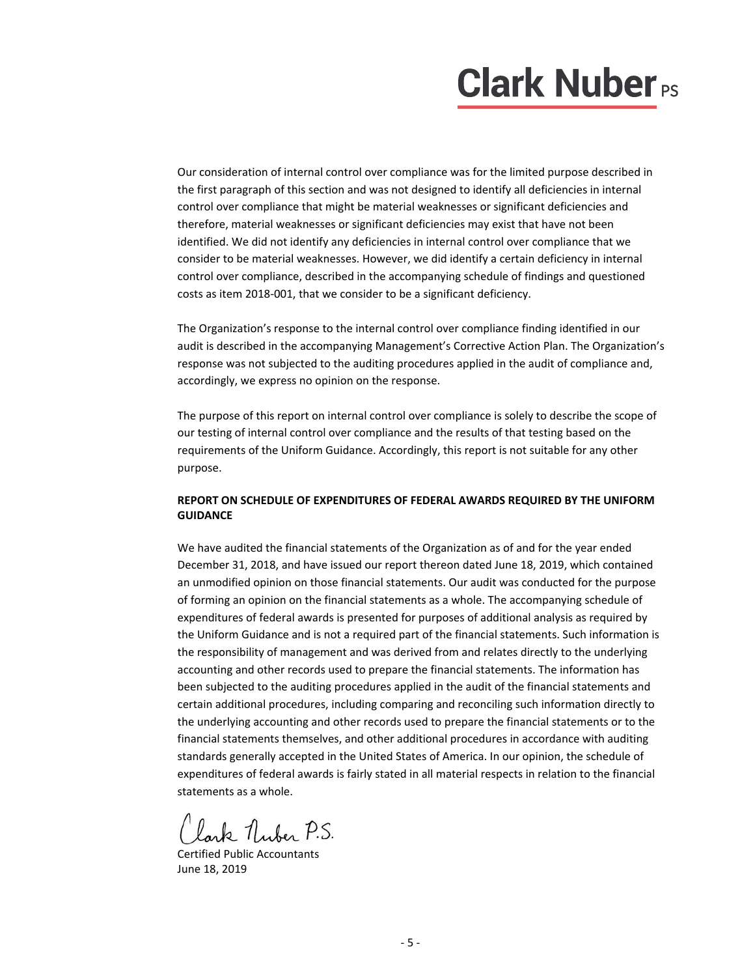Our consideration of internal control over compliance was for the limited purpose described in the first paragraph of this section and was not designed to identify all deficiencies in internal control over compliance that might be material weaknesses or significant deficiencies and therefore, material weaknesses or significant deficiencies may exist that have not been identified. We did not identify any deficiencies in internal control over compliance that we consider to be material weaknesses. However, we did identify a certain deficiency in internal control over compliance, described in the accompanying schedule of findings and questioned costs as item 2018‐001, that we consider to be a significant deficiency.

The Organization's response to the internal control over compliance finding identified in our audit is described in the accompanying Management's Corrective Action Plan. The Organization's response was not subjected to the auditing procedures applied in the audit of compliance and, accordingly, we express no opinion on the response.

The purpose of this report on internal control over compliance is solely to describe the scope of our testing of internal control over compliance and the results of that testing based on the requirements of the Uniform Guidance. Accordingly, this report is not suitable for any other purpose.

#### **REPORT ON SCHEDULE OF EXPENDITURES OF FEDERAL AWARDS REQUIRED BY THE UNIFORM GUIDANCE**

We have audited the financial statements of the Organization as of and for the year ended December 31, 2018, and have issued our report thereon dated June 18, 2019, which contained an unmodified opinion on those financial statements. Our audit was conducted for the purpose of forming an opinion on the financial statements as a whole. The accompanying schedule of expenditures of federal awards is presented for purposes of additional analysis as required by the Uniform Guidance and is not a required part of the financial statements. Such information is the responsibility of management and was derived from and relates directly to the underlying accounting and other records used to prepare the financial statements. The information has been subjected to the auditing procedures applied in the audit of the financial statements and certain additional procedures, including comparing and reconciling such information directly to the underlying accounting and other records used to prepare the financial statements or to the financial statements themselves, and other additional procedures in accordance with auditing standards generally accepted in the United States of America. In our opinion, the schedule of expenditures of federal awards is fairly stated in all material respects in relation to the financial statements as a whole.

Lark Nuber P.S.

Certified Public Accountants June 18, 2019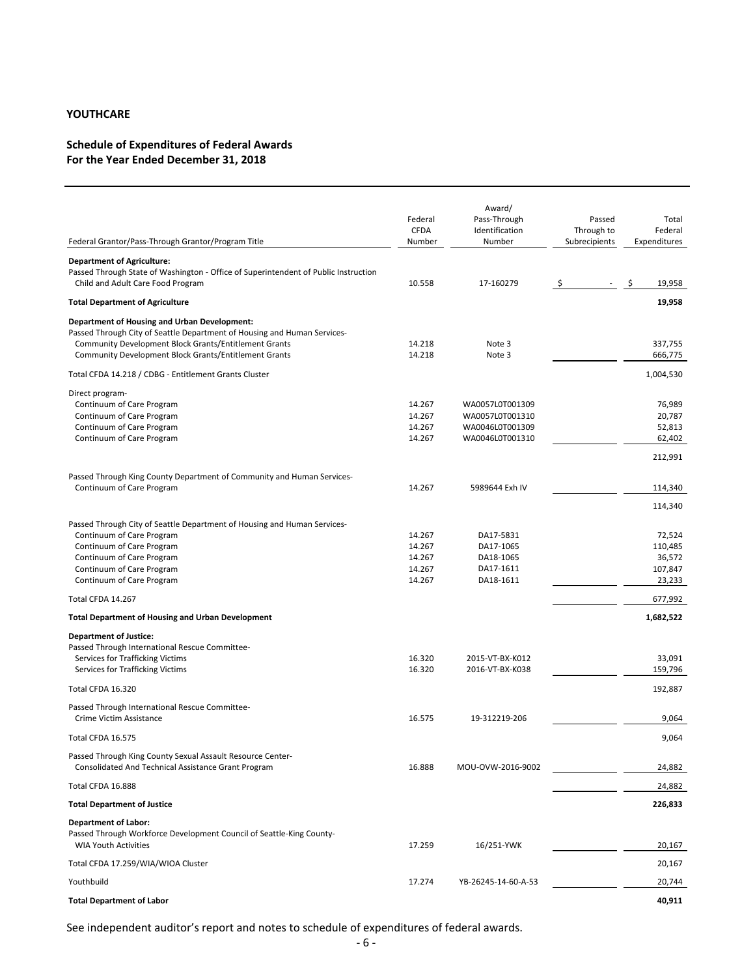### **Schedule of Expenditures of Federal Awards For the Year Ended December 31, 2018**

| <b>CFDA</b><br>Through to<br>Federal<br>Federal Grantor/Pass-Through Grantor/Program Title<br>Number<br>Number<br>Subrecipients<br>Expenditures<br><b>Department of Agriculture:</b><br>Passed Through State of Washington - Office of Superintendent of Public Instruction<br>19,958<br>Child and Adult Care Food Program<br>10.558<br>17-160279<br>-S<br>-Ş<br>19,958<br><b>Total Department of Agriculture</b><br><b>Department of Housing and Urban Development:</b><br>Passed Through City of Seattle Department of Housing and Human Services-<br>Community Development Block Grants/Entitlement Grants<br>14.218<br>Note 3<br>337,755<br><b>Community Development Block Grants/Entitlement Grants</b><br>14.218<br>Note 3<br>666,775<br>1,004,530<br>Total CFDA 14.218 / CDBG - Entitlement Grants Cluster<br>Direct program-<br>Continuum of Care Program<br>14.267<br>WA0057L0T001309<br>76,989<br>14.267<br>WA0057L0T001310<br>20,787<br>Continuum of Care Program<br>14.267<br>52,813<br>Continuum of Care Program<br>WA0046L0T001309<br>14.267<br>WA0046L0T001310<br>Continuum of Care Program<br>62,402<br>212,991<br>Passed Through King County Department of Community and Human Services-<br>14.267<br>Continuum of Care Program<br>5989644 Exh IV<br>114,340<br>114,340<br>Passed Through City of Seattle Department of Housing and Human Services-<br>Continuum of Care Program<br>DA17-5831<br>72,524<br>14.267<br>14.267<br>110,485<br>Continuum of Care Program<br>DA17-1065<br>14.267<br>36,572<br>Continuum of Care Program<br>DA18-1065<br>14.267<br>107,847<br>Continuum of Care Program<br>DA17-1611<br>14.267<br>23,233<br>Continuum of Care Program<br>DA18-1611<br>Total CFDA 14.267<br>677,992<br><b>Total Department of Housing and Urban Development</b><br>1,682,522<br><b>Department of Justice:</b><br>Passed Through International Rescue Committee-<br>16.320<br>33,091<br>Services for Trafficking Victims<br>2015-VT-BX-K012<br>Services for Trafficking Victims<br>16.320<br>2016-VT-BX-K038<br>159,796<br>192,887<br>Total CFDA 16.320<br>Passed Through International Rescue Committee-<br>Crime Victim Assistance<br>16.575<br>19-312219-206<br>9,064<br>9,064<br>Total CFDA 16.575<br>Passed Through King County Sexual Assault Resource Center-<br>Consolidated And Technical Assistance Grant Program<br>16.888<br>MOU-OVW-2016-9002<br>24,882<br>Total CFDA 16.888<br>24,882<br><b>Total Department of Justice</b><br>226,833<br>Department of Labor:<br>Passed Through Workforce Development Council of Seattle-King County-<br><b>WIA Youth Activities</b><br>17.259<br>16/251-YWK<br>20,167<br>Total CFDA 17.259/WIA/WIOA Cluster<br>20,167<br>Youthbuild<br>17.274<br>YB-26245-14-60-A-53<br>20,744<br><b>Total Department of Labor</b><br>40,911 | Federal | Award/<br>Pass-Through | Passed | Total |
|------------------------------------------------------------------------------------------------------------------------------------------------------------------------------------------------------------------------------------------------------------------------------------------------------------------------------------------------------------------------------------------------------------------------------------------------------------------------------------------------------------------------------------------------------------------------------------------------------------------------------------------------------------------------------------------------------------------------------------------------------------------------------------------------------------------------------------------------------------------------------------------------------------------------------------------------------------------------------------------------------------------------------------------------------------------------------------------------------------------------------------------------------------------------------------------------------------------------------------------------------------------------------------------------------------------------------------------------------------------------------------------------------------------------------------------------------------------------------------------------------------------------------------------------------------------------------------------------------------------------------------------------------------------------------------------------------------------------------------------------------------------------------------------------------------------------------------------------------------------------------------------------------------------------------------------------------------------------------------------------------------------------------------------------------------------------------------------------------------------------------------------------------------------------------------------------------------------------------------------------------------------------------------------------------------------------------------------------------------------------------------------------------------------------------------------------------------------------------------------------------------------------------------------------------------------------------------------------------------------------------------------------------------------------------------------------------------------------------------------------------------------------------------------------------|---------|------------------------|--------|-------|
|                                                                                                                                                                                                                                                                                                                                                                                                                                                                                                                                                                                                                                                                                                                                                                                                                                                                                                                                                                                                                                                                                                                                                                                                                                                                                                                                                                                                                                                                                                                                                                                                                                                                                                                                                                                                                                                                                                                                                                                                                                                                                                                                                                                                                                                                                                                                                                                                                                                                                                                                                                                                                                                                                                                                                                                                      |         | Identification         |        |       |
|                                                                                                                                                                                                                                                                                                                                                                                                                                                                                                                                                                                                                                                                                                                                                                                                                                                                                                                                                                                                                                                                                                                                                                                                                                                                                                                                                                                                                                                                                                                                                                                                                                                                                                                                                                                                                                                                                                                                                                                                                                                                                                                                                                                                                                                                                                                                                                                                                                                                                                                                                                                                                                                                                                                                                                                                      |         |                        |        |       |
|                                                                                                                                                                                                                                                                                                                                                                                                                                                                                                                                                                                                                                                                                                                                                                                                                                                                                                                                                                                                                                                                                                                                                                                                                                                                                                                                                                                                                                                                                                                                                                                                                                                                                                                                                                                                                                                                                                                                                                                                                                                                                                                                                                                                                                                                                                                                                                                                                                                                                                                                                                                                                                                                                                                                                                                                      |         |                        |        |       |
|                                                                                                                                                                                                                                                                                                                                                                                                                                                                                                                                                                                                                                                                                                                                                                                                                                                                                                                                                                                                                                                                                                                                                                                                                                                                                                                                                                                                                                                                                                                                                                                                                                                                                                                                                                                                                                                                                                                                                                                                                                                                                                                                                                                                                                                                                                                                                                                                                                                                                                                                                                                                                                                                                                                                                                                                      |         |                        |        |       |
|                                                                                                                                                                                                                                                                                                                                                                                                                                                                                                                                                                                                                                                                                                                                                                                                                                                                                                                                                                                                                                                                                                                                                                                                                                                                                                                                                                                                                                                                                                                                                                                                                                                                                                                                                                                                                                                                                                                                                                                                                                                                                                                                                                                                                                                                                                                                                                                                                                                                                                                                                                                                                                                                                                                                                                                                      |         |                        |        |       |
|                                                                                                                                                                                                                                                                                                                                                                                                                                                                                                                                                                                                                                                                                                                                                                                                                                                                                                                                                                                                                                                                                                                                                                                                                                                                                                                                                                                                                                                                                                                                                                                                                                                                                                                                                                                                                                                                                                                                                                                                                                                                                                                                                                                                                                                                                                                                                                                                                                                                                                                                                                                                                                                                                                                                                                                                      |         |                        |        |       |
|                                                                                                                                                                                                                                                                                                                                                                                                                                                                                                                                                                                                                                                                                                                                                                                                                                                                                                                                                                                                                                                                                                                                                                                                                                                                                                                                                                                                                                                                                                                                                                                                                                                                                                                                                                                                                                                                                                                                                                                                                                                                                                                                                                                                                                                                                                                                                                                                                                                                                                                                                                                                                                                                                                                                                                                                      |         |                        |        |       |
|                                                                                                                                                                                                                                                                                                                                                                                                                                                                                                                                                                                                                                                                                                                                                                                                                                                                                                                                                                                                                                                                                                                                                                                                                                                                                                                                                                                                                                                                                                                                                                                                                                                                                                                                                                                                                                                                                                                                                                                                                                                                                                                                                                                                                                                                                                                                                                                                                                                                                                                                                                                                                                                                                                                                                                                                      |         |                        |        |       |
|                                                                                                                                                                                                                                                                                                                                                                                                                                                                                                                                                                                                                                                                                                                                                                                                                                                                                                                                                                                                                                                                                                                                                                                                                                                                                                                                                                                                                                                                                                                                                                                                                                                                                                                                                                                                                                                                                                                                                                                                                                                                                                                                                                                                                                                                                                                                                                                                                                                                                                                                                                                                                                                                                                                                                                                                      |         |                        |        |       |
|                                                                                                                                                                                                                                                                                                                                                                                                                                                                                                                                                                                                                                                                                                                                                                                                                                                                                                                                                                                                                                                                                                                                                                                                                                                                                                                                                                                                                                                                                                                                                                                                                                                                                                                                                                                                                                                                                                                                                                                                                                                                                                                                                                                                                                                                                                                                                                                                                                                                                                                                                                                                                                                                                                                                                                                                      |         |                        |        |       |
|                                                                                                                                                                                                                                                                                                                                                                                                                                                                                                                                                                                                                                                                                                                                                                                                                                                                                                                                                                                                                                                                                                                                                                                                                                                                                                                                                                                                                                                                                                                                                                                                                                                                                                                                                                                                                                                                                                                                                                                                                                                                                                                                                                                                                                                                                                                                                                                                                                                                                                                                                                                                                                                                                                                                                                                                      |         |                        |        |       |
|                                                                                                                                                                                                                                                                                                                                                                                                                                                                                                                                                                                                                                                                                                                                                                                                                                                                                                                                                                                                                                                                                                                                                                                                                                                                                                                                                                                                                                                                                                                                                                                                                                                                                                                                                                                                                                                                                                                                                                                                                                                                                                                                                                                                                                                                                                                                                                                                                                                                                                                                                                                                                                                                                                                                                                                                      |         |                        |        |       |
|                                                                                                                                                                                                                                                                                                                                                                                                                                                                                                                                                                                                                                                                                                                                                                                                                                                                                                                                                                                                                                                                                                                                                                                                                                                                                                                                                                                                                                                                                                                                                                                                                                                                                                                                                                                                                                                                                                                                                                                                                                                                                                                                                                                                                                                                                                                                                                                                                                                                                                                                                                                                                                                                                                                                                                                                      |         |                        |        |       |
|                                                                                                                                                                                                                                                                                                                                                                                                                                                                                                                                                                                                                                                                                                                                                                                                                                                                                                                                                                                                                                                                                                                                                                                                                                                                                                                                                                                                                                                                                                                                                                                                                                                                                                                                                                                                                                                                                                                                                                                                                                                                                                                                                                                                                                                                                                                                                                                                                                                                                                                                                                                                                                                                                                                                                                                                      |         |                        |        |       |
|                                                                                                                                                                                                                                                                                                                                                                                                                                                                                                                                                                                                                                                                                                                                                                                                                                                                                                                                                                                                                                                                                                                                                                                                                                                                                                                                                                                                                                                                                                                                                                                                                                                                                                                                                                                                                                                                                                                                                                                                                                                                                                                                                                                                                                                                                                                                                                                                                                                                                                                                                                                                                                                                                                                                                                                                      |         |                        |        |       |
|                                                                                                                                                                                                                                                                                                                                                                                                                                                                                                                                                                                                                                                                                                                                                                                                                                                                                                                                                                                                                                                                                                                                                                                                                                                                                                                                                                                                                                                                                                                                                                                                                                                                                                                                                                                                                                                                                                                                                                                                                                                                                                                                                                                                                                                                                                                                                                                                                                                                                                                                                                                                                                                                                                                                                                                                      |         |                        |        |       |
|                                                                                                                                                                                                                                                                                                                                                                                                                                                                                                                                                                                                                                                                                                                                                                                                                                                                                                                                                                                                                                                                                                                                                                                                                                                                                                                                                                                                                                                                                                                                                                                                                                                                                                                                                                                                                                                                                                                                                                                                                                                                                                                                                                                                                                                                                                                                                                                                                                                                                                                                                                                                                                                                                                                                                                                                      |         |                        |        |       |
|                                                                                                                                                                                                                                                                                                                                                                                                                                                                                                                                                                                                                                                                                                                                                                                                                                                                                                                                                                                                                                                                                                                                                                                                                                                                                                                                                                                                                                                                                                                                                                                                                                                                                                                                                                                                                                                                                                                                                                                                                                                                                                                                                                                                                                                                                                                                                                                                                                                                                                                                                                                                                                                                                                                                                                                                      |         |                        |        |       |
|                                                                                                                                                                                                                                                                                                                                                                                                                                                                                                                                                                                                                                                                                                                                                                                                                                                                                                                                                                                                                                                                                                                                                                                                                                                                                                                                                                                                                                                                                                                                                                                                                                                                                                                                                                                                                                                                                                                                                                                                                                                                                                                                                                                                                                                                                                                                                                                                                                                                                                                                                                                                                                                                                                                                                                                                      |         |                        |        |       |
|                                                                                                                                                                                                                                                                                                                                                                                                                                                                                                                                                                                                                                                                                                                                                                                                                                                                                                                                                                                                                                                                                                                                                                                                                                                                                                                                                                                                                                                                                                                                                                                                                                                                                                                                                                                                                                                                                                                                                                                                                                                                                                                                                                                                                                                                                                                                                                                                                                                                                                                                                                                                                                                                                                                                                                                                      |         |                        |        |       |
|                                                                                                                                                                                                                                                                                                                                                                                                                                                                                                                                                                                                                                                                                                                                                                                                                                                                                                                                                                                                                                                                                                                                                                                                                                                                                                                                                                                                                                                                                                                                                                                                                                                                                                                                                                                                                                                                                                                                                                                                                                                                                                                                                                                                                                                                                                                                                                                                                                                                                                                                                                                                                                                                                                                                                                                                      |         |                        |        |       |
|                                                                                                                                                                                                                                                                                                                                                                                                                                                                                                                                                                                                                                                                                                                                                                                                                                                                                                                                                                                                                                                                                                                                                                                                                                                                                                                                                                                                                                                                                                                                                                                                                                                                                                                                                                                                                                                                                                                                                                                                                                                                                                                                                                                                                                                                                                                                                                                                                                                                                                                                                                                                                                                                                                                                                                                                      |         |                        |        |       |
|                                                                                                                                                                                                                                                                                                                                                                                                                                                                                                                                                                                                                                                                                                                                                                                                                                                                                                                                                                                                                                                                                                                                                                                                                                                                                                                                                                                                                                                                                                                                                                                                                                                                                                                                                                                                                                                                                                                                                                                                                                                                                                                                                                                                                                                                                                                                                                                                                                                                                                                                                                                                                                                                                                                                                                                                      |         |                        |        |       |
|                                                                                                                                                                                                                                                                                                                                                                                                                                                                                                                                                                                                                                                                                                                                                                                                                                                                                                                                                                                                                                                                                                                                                                                                                                                                                                                                                                                                                                                                                                                                                                                                                                                                                                                                                                                                                                                                                                                                                                                                                                                                                                                                                                                                                                                                                                                                                                                                                                                                                                                                                                                                                                                                                                                                                                                                      |         |                        |        |       |
|                                                                                                                                                                                                                                                                                                                                                                                                                                                                                                                                                                                                                                                                                                                                                                                                                                                                                                                                                                                                                                                                                                                                                                                                                                                                                                                                                                                                                                                                                                                                                                                                                                                                                                                                                                                                                                                                                                                                                                                                                                                                                                                                                                                                                                                                                                                                                                                                                                                                                                                                                                                                                                                                                                                                                                                                      |         |                        |        |       |
|                                                                                                                                                                                                                                                                                                                                                                                                                                                                                                                                                                                                                                                                                                                                                                                                                                                                                                                                                                                                                                                                                                                                                                                                                                                                                                                                                                                                                                                                                                                                                                                                                                                                                                                                                                                                                                                                                                                                                                                                                                                                                                                                                                                                                                                                                                                                                                                                                                                                                                                                                                                                                                                                                                                                                                                                      |         |                        |        |       |
|                                                                                                                                                                                                                                                                                                                                                                                                                                                                                                                                                                                                                                                                                                                                                                                                                                                                                                                                                                                                                                                                                                                                                                                                                                                                                                                                                                                                                                                                                                                                                                                                                                                                                                                                                                                                                                                                                                                                                                                                                                                                                                                                                                                                                                                                                                                                                                                                                                                                                                                                                                                                                                                                                                                                                                                                      |         |                        |        |       |
|                                                                                                                                                                                                                                                                                                                                                                                                                                                                                                                                                                                                                                                                                                                                                                                                                                                                                                                                                                                                                                                                                                                                                                                                                                                                                                                                                                                                                                                                                                                                                                                                                                                                                                                                                                                                                                                                                                                                                                                                                                                                                                                                                                                                                                                                                                                                                                                                                                                                                                                                                                                                                                                                                                                                                                                                      |         |                        |        |       |
|                                                                                                                                                                                                                                                                                                                                                                                                                                                                                                                                                                                                                                                                                                                                                                                                                                                                                                                                                                                                                                                                                                                                                                                                                                                                                                                                                                                                                                                                                                                                                                                                                                                                                                                                                                                                                                                                                                                                                                                                                                                                                                                                                                                                                                                                                                                                                                                                                                                                                                                                                                                                                                                                                                                                                                                                      |         |                        |        |       |
|                                                                                                                                                                                                                                                                                                                                                                                                                                                                                                                                                                                                                                                                                                                                                                                                                                                                                                                                                                                                                                                                                                                                                                                                                                                                                                                                                                                                                                                                                                                                                                                                                                                                                                                                                                                                                                                                                                                                                                                                                                                                                                                                                                                                                                                                                                                                                                                                                                                                                                                                                                                                                                                                                                                                                                                                      |         |                        |        |       |
|                                                                                                                                                                                                                                                                                                                                                                                                                                                                                                                                                                                                                                                                                                                                                                                                                                                                                                                                                                                                                                                                                                                                                                                                                                                                                                                                                                                                                                                                                                                                                                                                                                                                                                                                                                                                                                                                                                                                                                                                                                                                                                                                                                                                                                                                                                                                                                                                                                                                                                                                                                                                                                                                                                                                                                                                      |         |                        |        |       |
|                                                                                                                                                                                                                                                                                                                                                                                                                                                                                                                                                                                                                                                                                                                                                                                                                                                                                                                                                                                                                                                                                                                                                                                                                                                                                                                                                                                                                                                                                                                                                                                                                                                                                                                                                                                                                                                                                                                                                                                                                                                                                                                                                                                                                                                                                                                                                                                                                                                                                                                                                                                                                                                                                                                                                                                                      |         |                        |        |       |
|                                                                                                                                                                                                                                                                                                                                                                                                                                                                                                                                                                                                                                                                                                                                                                                                                                                                                                                                                                                                                                                                                                                                                                                                                                                                                                                                                                                                                                                                                                                                                                                                                                                                                                                                                                                                                                                                                                                                                                                                                                                                                                                                                                                                                                                                                                                                                                                                                                                                                                                                                                                                                                                                                                                                                                                                      |         |                        |        |       |
|                                                                                                                                                                                                                                                                                                                                                                                                                                                                                                                                                                                                                                                                                                                                                                                                                                                                                                                                                                                                                                                                                                                                                                                                                                                                                                                                                                                                                                                                                                                                                                                                                                                                                                                                                                                                                                                                                                                                                                                                                                                                                                                                                                                                                                                                                                                                                                                                                                                                                                                                                                                                                                                                                                                                                                                                      |         |                        |        |       |
|                                                                                                                                                                                                                                                                                                                                                                                                                                                                                                                                                                                                                                                                                                                                                                                                                                                                                                                                                                                                                                                                                                                                                                                                                                                                                                                                                                                                                                                                                                                                                                                                                                                                                                                                                                                                                                                                                                                                                                                                                                                                                                                                                                                                                                                                                                                                                                                                                                                                                                                                                                                                                                                                                                                                                                                                      |         |                        |        |       |
|                                                                                                                                                                                                                                                                                                                                                                                                                                                                                                                                                                                                                                                                                                                                                                                                                                                                                                                                                                                                                                                                                                                                                                                                                                                                                                                                                                                                                                                                                                                                                                                                                                                                                                                                                                                                                                                                                                                                                                                                                                                                                                                                                                                                                                                                                                                                                                                                                                                                                                                                                                                                                                                                                                                                                                                                      |         |                        |        |       |
|                                                                                                                                                                                                                                                                                                                                                                                                                                                                                                                                                                                                                                                                                                                                                                                                                                                                                                                                                                                                                                                                                                                                                                                                                                                                                                                                                                                                                                                                                                                                                                                                                                                                                                                                                                                                                                                                                                                                                                                                                                                                                                                                                                                                                                                                                                                                                                                                                                                                                                                                                                                                                                                                                                                                                                                                      |         |                        |        |       |
|                                                                                                                                                                                                                                                                                                                                                                                                                                                                                                                                                                                                                                                                                                                                                                                                                                                                                                                                                                                                                                                                                                                                                                                                                                                                                                                                                                                                                                                                                                                                                                                                                                                                                                                                                                                                                                                                                                                                                                                                                                                                                                                                                                                                                                                                                                                                                                                                                                                                                                                                                                                                                                                                                                                                                                                                      |         |                        |        |       |
|                                                                                                                                                                                                                                                                                                                                                                                                                                                                                                                                                                                                                                                                                                                                                                                                                                                                                                                                                                                                                                                                                                                                                                                                                                                                                                                                                                                                                                                                                                                                                                                                                                                                                                                                                                                                                                                                                                                                                                                                                                                                                                                                                                                                                                                                                                                                                                                                                                                                                                                                                                                                                                                                                                                                                                                                      |         |                        |        |       |

See independent auditor's report and notes to schedule of expenditures of federal awards.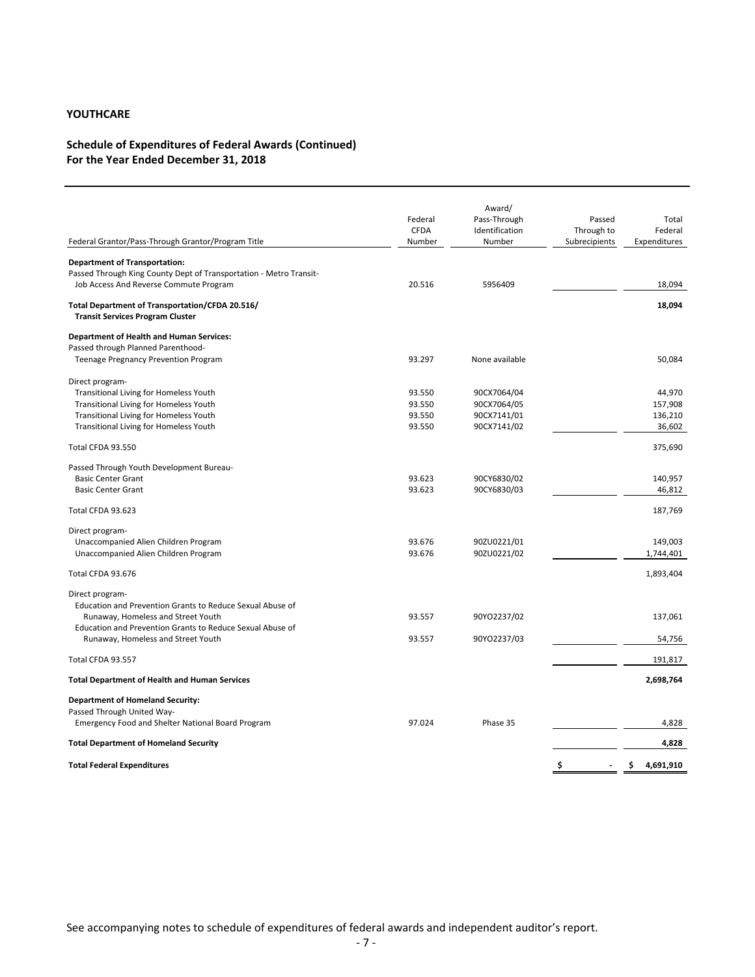### **Schedule of Expenditures of Federal Awards (Continued) For the Year Ended December 31, 2018**

| Federal Grantor/Pass-Through Grantor/Program Title                                         | Federal<br><b>CFDA</b><br>Number | Award/<br>Pass-Through<br>Identification<br>Number | Passed<br>Through to<br>Subrecipients | Total<br>Federal<br>Expenditures |
|--------------------------------------------------------------------------------------------|----------------------------------|----------------------------------------------------|---------------------------------------|----------------------------------|
| <b>Department of Transportation:</b>                                                       |                                  |                                                    |                                       |                                  |
| Passed Through King County Dept of Transportation - Metro Transit-                         |                                  |                                                    |                                       |                                  |
| Job Access And Reverse Commute Program                                                     | 20.516                           | 5956409                                            |                                       | 18,094                           |
| Total Department of Transportation/CFDA 20.516/<br><b>Transit Services Program Cluster</b> |                                  |                                                    |                                       | 18,094                           |
| <b>Department of Health and Human Services:</b>                                            |                                  |                                                    |                                       |                                  |
| Passed through Planned Parenthood-                                                         |                                  |                                                    |                                       |                                  |
| Teenage Pregnancy Prevention Program                                                       | 93.297                           | None available                                     |                                       | 50,084                           |
| Direct program-                                                                            |                                  |                                                    |                                       |                                  |
| Transitional Living for Homeless Youth                                                     | 93.550                           | 90CX7064/04                                        |                                       | 44,970                           |
| <b>Transitional Living for Homeless Youth</b>                                              | 93.550                           | 90CX7064/05                                        |                                       | 157,908                          |
| Transitional Living for Homeless Youth                                                     | 93.550                           | 90CX7141/01                                        |                                       | 136,210                          |
| <b>Transitional Living for Homeless Youth</b>                                              | 93.550                           | 90CX7141/02                                        |                                       | 36,602                           |
| Total CFDA 93.550                                                                          |                                  |                                                    |                                       | 375,690                          |
| Passed Through Youth Development Bureau-                                                   |                                  |                                                    |                                       |                                  |
| <b>Basic Center Grant</b>                                                                  | 93.623                           | 90CY6830/02                                        |                                       | 140,957                          |
| <b>Basic Center Grant</b>                                                                  | 93.623                           | 90CY6830/03                                        |                                       | 46,812                           |
| Total CFDA 93.623                                                                          |                                  |                                                    |                                       | 187,769                          |
| Direct program-                                                                            |                                  |                                                    |                                       |                                  |
| Unaccompanied Alien Children Program                                                       | 93.676                           | 90ZU0221/01                                        |                                       | 149,003                          |
| Unaccompanied Alien Children Program                                                       | 93.676                           | 90ZU0221/02                                        |                                       | 1,744,401                        |
| Total CFDA 93.676                                                                          |                                  |                                                    |                                       | 1,893,404                        |
| Direct program-                                                                            |                                  |                                                    |                                       |                                  |
| Education and Prevention Grants to Reduce Sexual Abuse of                                  |                                  |                                                    |                                       |                                  |
| Runaway, Homeless and Street Youth                                                         | 93.557                           | 90YO2237/02                                        |                                       | 137,061                          |
| Education and Prevention Grants to Reduce Sexual Abuse of                                  |                                  |                                                    |                                       |                                  |
| Runaway, Homeless and Street Youth                                                         | 93.557                           | 90YO2237/03                                        |                                       | 54,756                           |
| Total CFDA 93.557                                                                          |                                  |                                                    |                                       | 191,817                          |
| <b>Total Department of Health and Human Services</b>                                       |                                  |                                                    |                                       | 2,698,764                        |
| <b>Department of Homeland Security:</b>                                                    |                                  |                                                    |                                       |                                  |
| Passed Through United Way-                                                                 |                                  |                                                    |                                       |                                  |
| <b>Emergency Food and Shelter National Board Program</b>                                   | 97.024                           | Phase 35                                           |                                       | 4,828                            |
| <b>Total Department of Homeland Security</b>                                               |                                  |                                                    |                                       | 4,828                            |
| <b>Total Federal Expenditures</b>                                                          |                                  |                                                    | \$                                    | 4,691,910<br>Ś.                  |
|                                                                                            |                                  |                                                    |                                       |                                  |

See accompanying notes to schedule of expenditures of federal awards and independent auditor's report.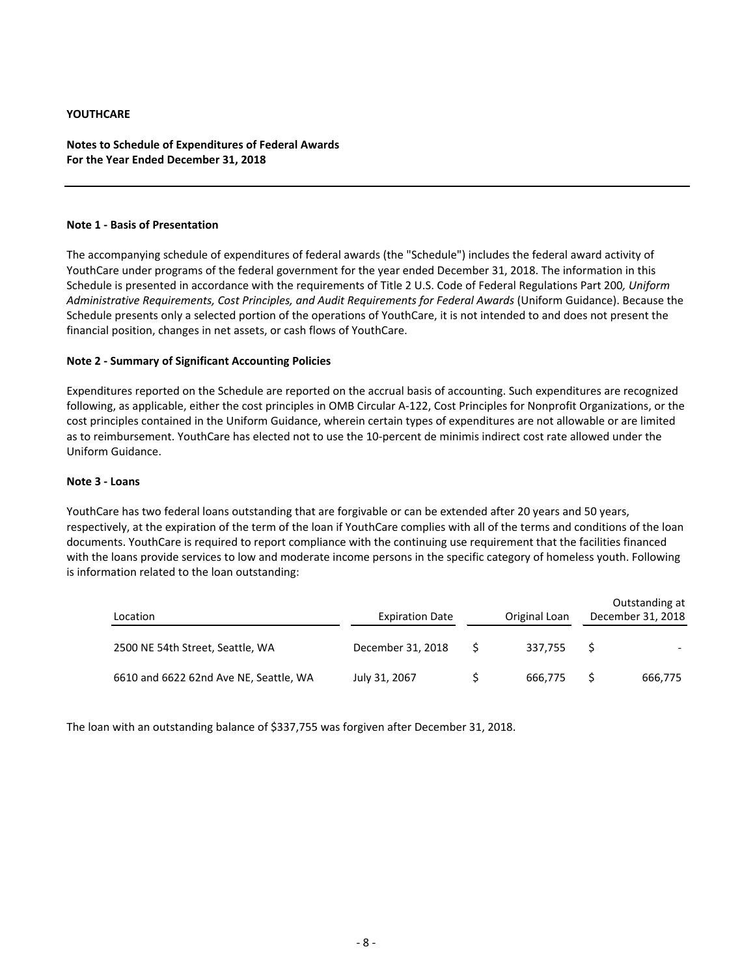#### **Notes to Schedule of Expenditures of Federal Awards For the Year Ended December 31, 2018**

#### **Note 1 ‐ Basis of Presentation**

The accompanying schedule of expenditures of federal awards (the "Schedule") includes the federal award activity of YouthCare under programs of the federal government for the year ended December 31, 2018. The information in this Schedule is presented in accordance with the requirements of Title 2 U.S. Code of Federal Regulations Part 200*, Uniform Administrative Requirements, Cost Principles, and Audit Requirements for Federal Awards* (Uniform Guidance). Because the Schedule presents only a selected portion of the operations of YouthCare, it is not intended to and does not present the financial position, changes in net assets, or cash flows of YouthCare.

#### **Note 2 ‐ Summary of Significant Accounting Policies**

Expenditures reported on the Schedule are reported on the accrual basis of accounting. Such expenditures are recognized following, as applicable, either the cost principles in OMB Circular A‐122, Cost Principles for Nonprofit Organizations, or the cost principles contained in the Uniform Guidance, wherein certain types of expenditures are not allowable or are limited as to reimbursement. YouthCare has elected not to use the 10‐percent de minimis indirect cost rate allowed under the Uniform Guidance.

#### **Note 3 ‐ Loans**

YouthCare has two federal loans outstanding that are forgivable or can be extended after 20 years and 50 years, respectively, at the expiration of the term of the loan if YouthCare complies with all of the terms and conditions of the loan documents. YouthCare is required to report compliance with the continuing use requirement that the facilities financed with the loans provide services to low and moderate income persons in the specific category of homeless youth. Following is information related to the loan outstanding:

| Location                               | <b>Expiration Date</b> | Original Loan | Outstanding at<br>December 31, 2018 |
|----------------------------------------|------------------------|---------------|-------------------------------------|
| 2500 NE 54th Street, Seattle, WA       | December 31, 2018      | 337.755       |                                     |
| 6610 and 6622 62nd Ave NE, Seattle, WA | July 31, 2067          | 666,775       | 666,775                             |

The loan with an outstanding balance of \$337,755 was forgiven after December 31, 2018.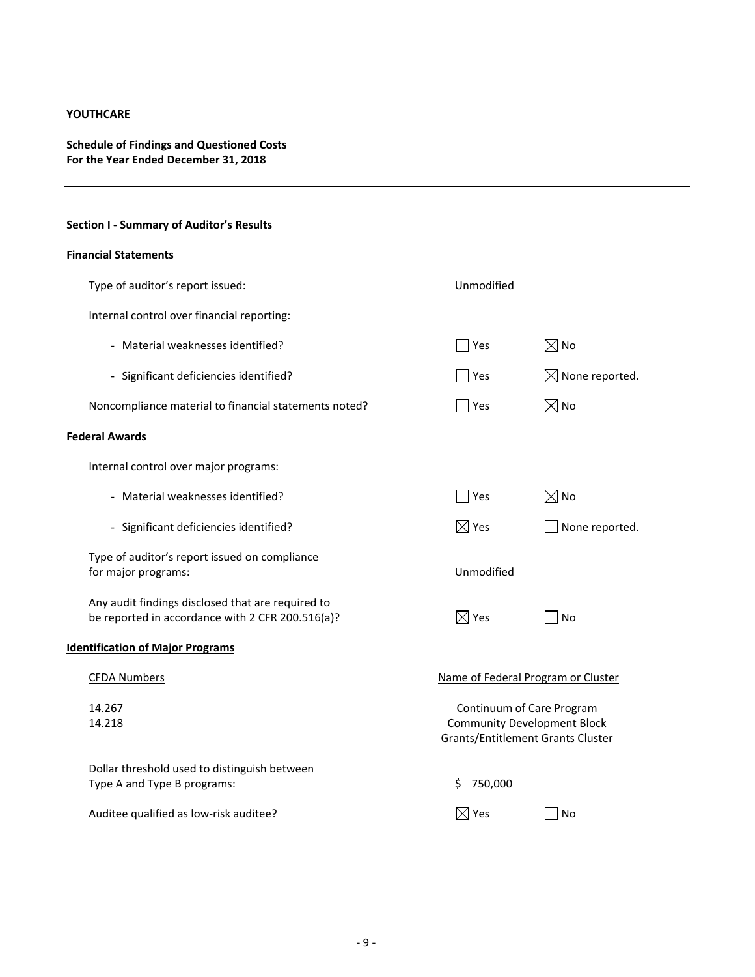## **Schedule of Findings and Questioned Costs For the Year Ended December 31, 2018**

# **Section I ‐ Summary of Auditor's Results**

### **Financial Statements**

| Type of auditor's report issued:                                                                      | Unmodified                                                                                           |                                    |
|-------------------------------------------------------------------------------------------------------|------------------------------------------------------------------------------------------------------|------------------------------------|
| Internal control over financial reporting:                                                            |                                                                                                      |                                    |
| - Material weaknesses identified?                                                                     | Yes                                                                                                  | $\boxtimes$ No                     |
| - Significant deficiencies identified?                                                                | Yes                                                                                                  | $\boxtimes$ None reported.         |
| Noncompliance material to financial statements noted?                                                 | Yes                                                                                                  | $\boxtimes$ No                     |
| <b>Federal Awards</b>                                                                                 |                                                                                                      |                                    |
| Internal control over major programs:                                                                 |                                                                                                      |                                    |
| - Material weaknesses identified?                                                                     | Yes                                                                                                  | $\boxtimes$ No                     |
| - Significant deficiencies identified?                                                                | $\boxtimes$ Yes                                                                                      | None reported.                     |
| Type of auditor's report issued on compliance<br>for major programs:                                  | Unmodified                                                                                           |                                    |
| Any audit findings disclosed that are required to<br>be reported in accordance with 2 CFR 200.516(a)? | $\boxtimes$ Yes                                                                                      | No                                 |
| <b>Identification of Major Programs</b>                                                               |                                                                                                      |                                    |
| <b>CFDA Numbers</b>                                                                                   |                                                                                                      | Name of Federal Program or Cluster |
| 14.267<br>14.218                                                                                      | Continuum of Care Program<br><b>Community Development Block</b><br>Grants/Entitlement Grants Cluster |                                    |
| Dollar threshold used to distinguish between<br>Type A and Type B programs:                           | 750,000<br>S                                                                                         |                                    |
| Auditee qualified as low-risk auditee?                                                                | $\boxtimes$ Yes                                                                                      | No                                 |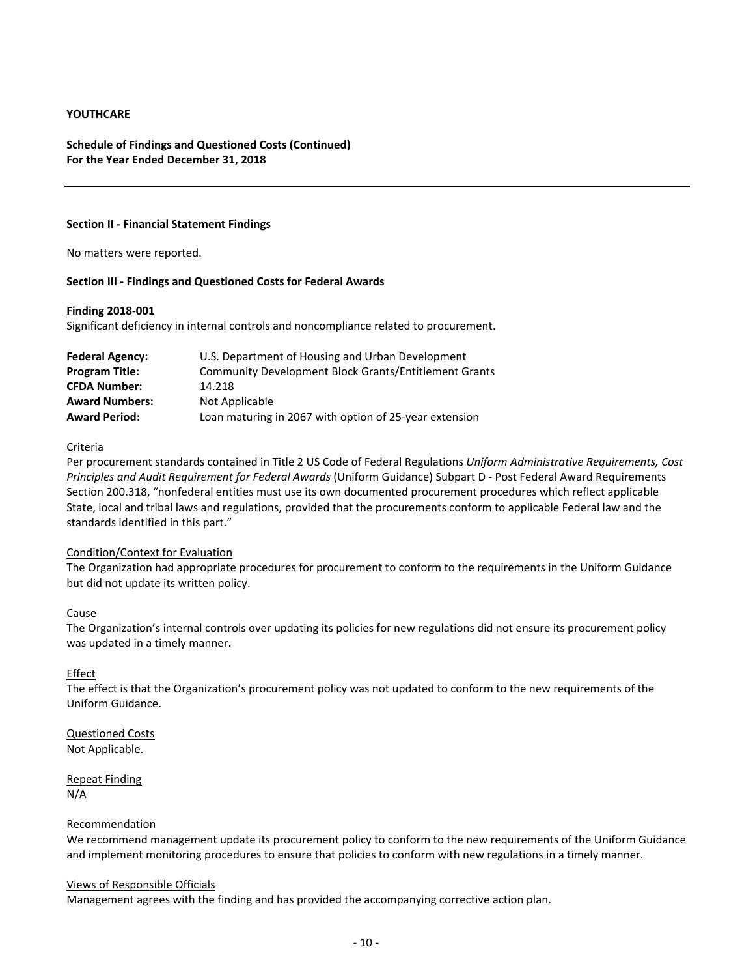#### **Schedule of Findings and Questioned Costs (Continued) For the Year Ended December 31, 2018**

#### **Section II ‐ Financial Statement Findings**

No matters were reported.

#### **Section III ‐ Findings and Questioned Costs for Federal Awards**

#### **Finding 2018‐001**

Significant deficiency in internal controls and noncompliance related to procurement.

| <b>Federal Agency:</b> | U.S. Department of Housing and Urban Development       |
|------------------------|--------------------------------------------------------|
| <b>Program Title:</b>  | Community Development Block Grants/Entitlement Grants  |
| <b>CFDA Number:</b>    | 14.218                                                 |
| <b>Award Numbers:</b>  | Not Applicable                                         |
| <b>Award Period:</b>   | Loan maturing in 2067 with option of 25-year extension |

#### Criteria

Per procurement standards contained in Title 2 US Code of Federal Regulations *Uniform Administrative Requirements, Cost Principles and Audit Requirement for Federal Awards* (Uniform Guidance) Subpart D ‐ Post Federal Award Requirements Section 200.318, "nonfederal entities must use its own documented procurement procedures which reflect applicable State, local and tribal laws and regulations, provided that the procurements conform to applicable Federal law and the standards identified in this part."

#### Condition/Context for Evaluation

The Organization had appropriate procedures for procurement to conform to the requirements in the Uniform Guidance but did not update its written policy.

#### Cause

The Organization's internal controls over updating its policies for new regulations did not ensure its procurement policy was updated in a timely manner.

#### Effect

The effect is that the Organization's procurement policy was not updated to conform to the new requirements of the Uniform Guidance.

Questioned Costs Not Applicable.

Repeat Finding N/A

#### Recommendation

We recommend management update its procurement policy to conform to the new requirements of the Uniform Guidance and implement monitoring procedures to ensure that policies to conform with new regulations in a timely manner.

#### Views of Responsible Officials

Management agrees with the finding and has provided the accompanying corrective action plan.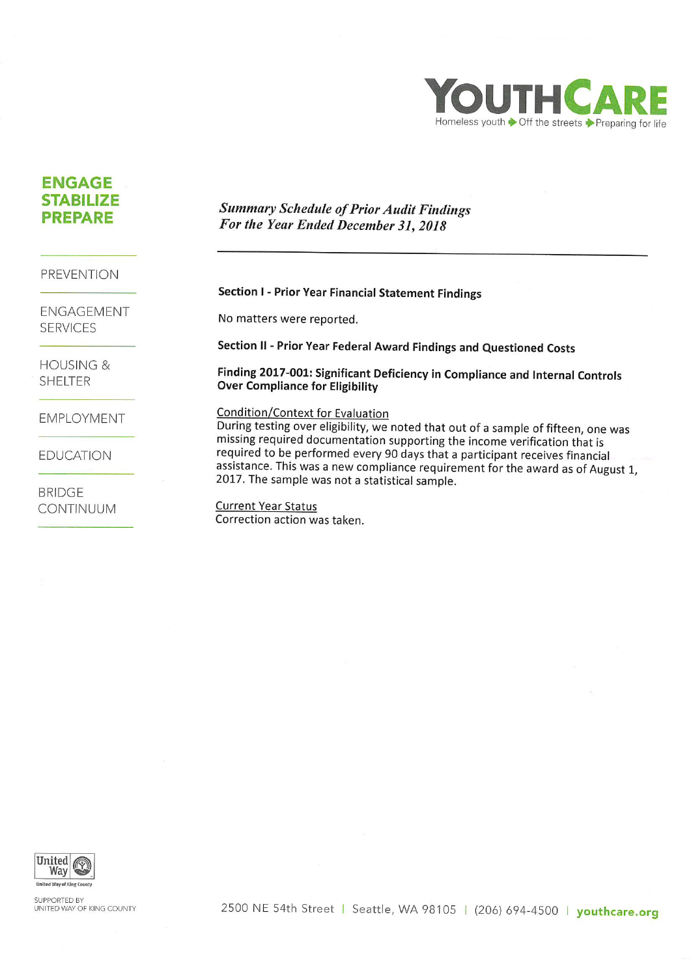

# **ENGAGE STABILIZE PREPARE**

# **Summary Schedule of Prior Audit Findings** For the Year Ended December 31, 2018

**PREVENTION** 

ENGAGEMENT **SERVICES** 

**HOUSING & SHELTER** 

**EMPLOYMENT** 

**EDUCATION** 

**BRIDGE CONTINUUM** 

# Section I - Prior Year Financial Statement Findings

No matters were reported.

Section II - Prior Year Federal Award Findings and Questioned Costs

Finding 2017-001: Significant Deficiency in Compliance and Internal Controls **Over Compliance for Eligibility** 

## **Condition/Context for Evaluation**

During testing over eligibility, we noted that out of a sample of fifteen, one was missing required documentation supporting the income verification that is required to be performed every 90 days that a participant receives financial assistance. This was a new compliance requirement for the award as of August 1, 2017. The sample was not a statistical sample.

**Current Year Status** Correction action was taken.



**SUPPORTED BY** UNITED WAY OF KING COUNTY